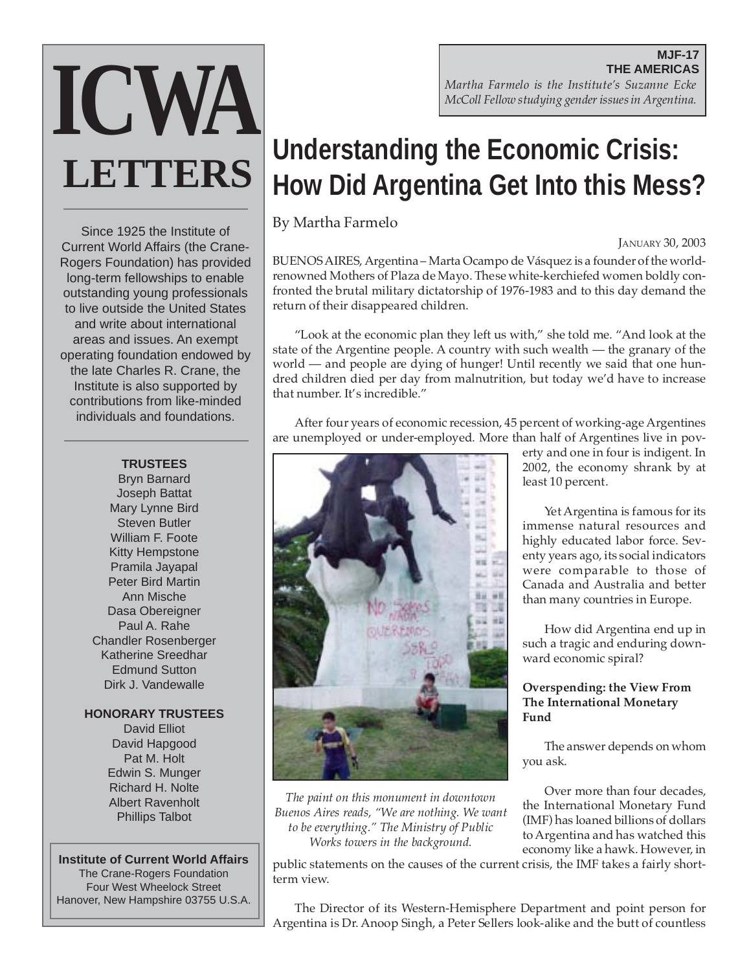**MJF-17 THE AMERICAS** *Martha Farmelo is the Institute's Suzanne Ecke McColl Fellow studying gender issues in Argentina.*

# **Understanding the Economic Crisis: How Did Argentina Get Into this Mess?**

By Martha Farmelo

JANUARY 30, 2003

BUENOS AIRES, Argentina – Marta Ocampo de Vásquez is a founder of the worldrenowned Mothers of Plaza de Mayo. These white-kerchiefed women boldly confronted the brutal military dictatorship of 1976-1983 and to this day demand the return of their disappeared children.

"Look at the economic plan they left us with," she told me. "And look at the state of the Argentine people. A country with such wealth — the granary of the world — and people are dying of hunger! Until recently we said that one hundred children died per day from malnutrition, but today we'd have to increase that number. It's incredible."

After four years of economic recession, 45 percent of working-age Argentines are unemployed or under-employed. More than half of Argentines live in pov-



*The paint on this monument in downtown Buenos Aires reads, "We are nothing. We want to be everything." The Ministry of Public Works towers in the background.*

term view.

erty and one in four is indigent. In 2002, the economy shrank by at least 10 percent.

Yet Argentina is famous for its immense natural resources and highly educated labor force. Seventy years ago, its social indicators were comparable to those of Canada and Australia and better than many countries in Europe.

How did Argentina end up in such a tragic and enduring downward economic spiral?

## **Overspending: the View From The International Monetary Fund**

The answer depends on whom you ask.

Over more than four decades, the International Monetary Fund (IMF) has loaned billions of dollars to Argentina and has watched this economy like a hawk. However, in public statements on the causes of the current crisis, the IMF takes a fairly short-

Since 1925 the Institute of Current World Affairs (the Crane-Rogers Foundation) has provided long-term fellowships to enable outstanding young professionals to live outside the United States and write about international areas and issues. An exempt operating foundation endowed by the late Charles R. Crane, the Institute is also supported by contributions from like-minded individuals and foundations.

**ICWA**

**LETTERS**

# **TRUSTEES**

Bryn Barnard Joseph Battat Mary Lynne Bird Steven Butler William F. Foote Kitty Hempstone Pramila Jayapal Peter Bird Martin Ann Mische Dasa Obereigner Paul A. Rahe Chandler Rosenberger Katherine Sreedhar Edmund Sutton Dirk J. Vandewalle

#### **HONORARY TRUSTEES**

David Elliot David Hapgood Pat M. Holt Edwin S. Munger Richard H. Nolte Albert Ravenholt Phillips Talbot

#### **Institute of Current World Affairs** The Crane-Rogers Foundation Four West Wheelock Street Hanover, New Hampshire 03755 U.S.A.

The Director of its Western-Hemisphere Department and point person for Argentina is Dr. Anoop Singh, a Peter Sellers look-alike and the butt of countless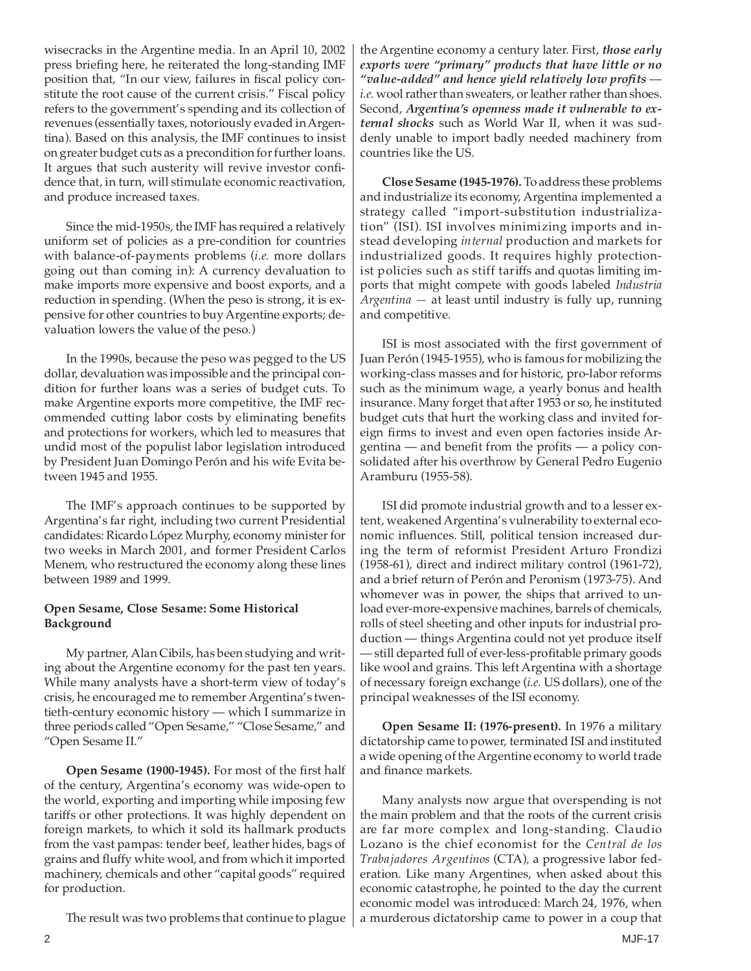wisecracks in the Argentine media. In an April 10, 2002 press briefing here, he reiterated the long-standing IMF position that, "In our view, failures in fiscal policy constitute the root cause of the current crisis." Fiscal policy refers to the government's spending and its collection of revenues (essentially taxes, notoriously evaded in Argentina). Based on this analysis, the IMF continues to insist on greater budget cuts as a precondition for further loans. It argues that such austerity will revive investor confidence that, in turn, will stimulate economic reactivation, and produce increased taxes.

Since the mid-1950s, the IMF has required a relatively uniform set of policies as a pre-condition for countries with balance-of-payments problems (*i.e.* more dollars going out than coming in): A currency devaluation to make imports more expensive and boost exports, and a reduction in spending. (When the peso is strong, it is expensive for other countries to buy Argentine exports; devaluation lowers the value of the peso.)

In the 1990s, because the peso was pegged to the US dollar, devaluation was impossible and the principal condition for further loans was a series of budget cuts. To make Argentine exports more competitive, the IMF recommended cutting labor costs by eliminating benefits and protections for workers, which led to measures that undid most of the populist labor legislation introduced by President Juan Domingo Perón and his wife Evita between 1945 and 1955.

The IMF's approach continues to be supported by Argentina's far right, including two current Presidential candidates: Ricardo López Murphy, economy minister for two weeks in March 2001, and former President Carlos Menem, who restructured the economy along these lines between 1989 and 1999.

## **Open Sesame, Close Sesame: Some Historical Background**

My partner, Alan Cibils, has been studying and writing about the Argentine economy for the past ten years. While many analysts have a short-term view of today's crisis, he encouraged me to remember Argentina's twentieth-century economic history — which I summarize in three periods called "Open Sesame," "Close Sesame," and "Open Sesame II."

**Open Sesame (1900-1945).** For most of the first half of the century, Argentina's economy was wide-open to the world, exporting and importing while imposing few tariffs or other protections. It was highly dependent on foreign markets, to which it sold its hallmark products from the vast pampas: tender beef, leather hides, bags of grains and fluffy white wool, and from which it imported machinery, chemicals and other "capital goods" required for production.

The result was two problems that continue to plague

the Argentine economy a century later. First, *those early exports were "primary" products that have little or no "value-added" and hence yield relatively low profits i.e.* wool rather than sweaters, or leather rather than shoes. Second, *Argentina's openness made it vulnerable to external shocks* such as World War II, when it was suddenly unable to import badly needed machinery from countries like the US.

**Close Sesame (1945-1976).** To address these problems and industrialize its economy, Argentina implemented a strategy called "import-substitution industrialization" (ISI). ISI involves minimizing imports and instead developing *internal* production and markets for industrialized goods. It requires highly protectionist policies such as stiff tariffs and quotas limiting imports that might compete with goods labeled *Industria Argentina —* at least until industry is fully up, running and competitive*.*

ISI is most associated with the first government of Juan Perón (1945-1955), who is famous for mobilizing the working-class masses and for historic, pro-labor reforms such as the minimum wage, a yearly bonus and health insurance. Many forget that after 1953 or so, he instituted budget cuts that hurt the working class and invited foreign firms to invest and even open factories inside Argentina — and benefit from the profits — a policy consolidated after his overthrow by General Pedro Eugenio Aramburu (1955-58).

ISI did promote industrial growth and to a lesser extent, weakened Argentina's vulnerability to external economic influences. Still, political tension increased during the term of reformist President Arturo Frondizi (1958-61), direct and indirect military control (1961-72), and a brief return of Perón and Peronism (1973-75). And whomever was in power, the ships that arrived to unload ever-more-expensive machines, barrels of chemicals, rolls of steel sheeting and other inputs for industrial production — things Argentina could not yet produce itself — still departed full of ever-less-profitable primary goods like wool and grains. This left Argentina with a shortage of necessary foreign exchange (*i.e.* US dollars), one of the principal weaknesses of the ISI economy.

**Open Sesame II: (1976-present).** In 1976 a military dictatorship came to power, terminated ISI and instituted a wide opening of the Argentine economy to world trade and finance markets.

Many analysts now argue that overspending is not the main problem and that the roots of the current crisis are far more complex and long-standing. Claudio Lozano is the chief economist for the *Central de los Trabajadores Argentinos* (CTA)*,* a progressive labor federation. Like many Argentines, when asked about this economic catastrophe, he pointed to the day the current economic model was introduced: March 24, 1976, when a murderous dictatorship came to power in a coup that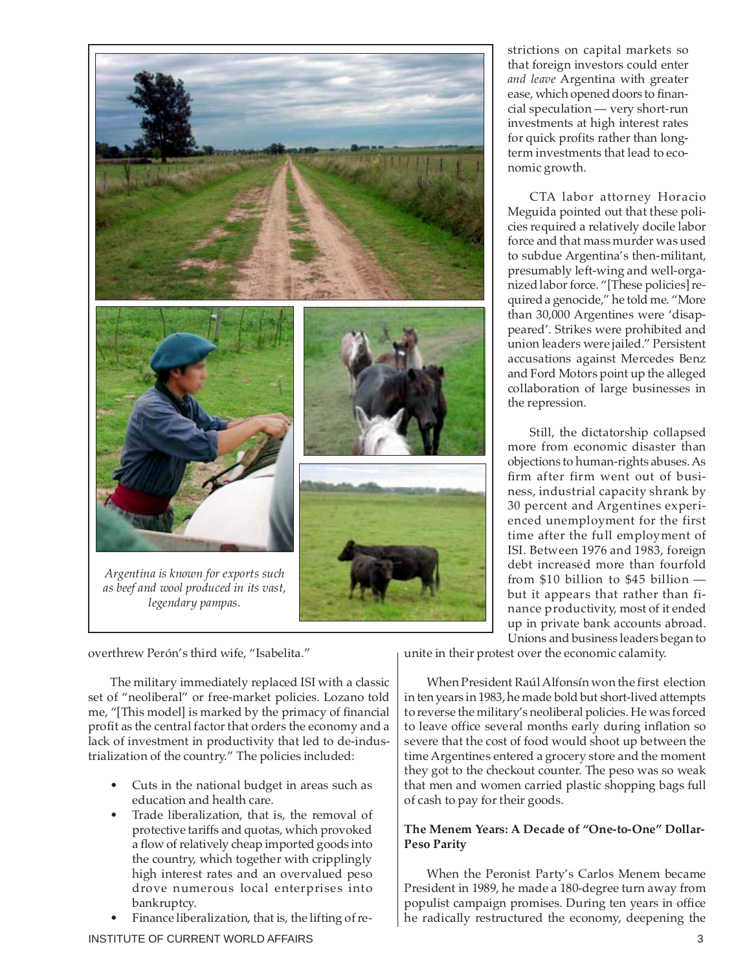

strictions on capital markets so that foreign investors could enter *and leave* Argentina with greater ease, which opened doors to financial speculation — very short-run investments at high interest rates for quick profits rather than longterm investments that lead to economic growth.

CTA labor attorney Horacio Meguida pointed out that these policies required a relatively docile labor force and that mass murder was used to subdue Argentina's then-militant, presumably left-wing and well-organized labor force. "[These policies] required a genocide," he told me. "More than 30,000 Argentines were 'disappeared'. Strikes were prohibited and union leaders were jailed." Persistent accusations against Mercedes Benz and Ford Motors point up the alleged collaboration of large businesses in the repression.

Still, the dictatorship collapsed more from economic disaster than objections to human-rights abuses. As firm after firm went out of business, industrial capacity shrank by 30 percent and Argentines experienced unemployment for the first time after the full employment of ISI. Between 1976 and 1983, foreign debt increased more than fourfold from \$10 billion to \$45 billion but it appears that rather than finance productivity, most of it ended up in private bank accounts abroad. Unions and business leaders began to

overthrew Perón's third wife, "Isabelita."

The military immediately replaced ISI with a classic set of "neoliberal" or free-market policies. Lozano told me, "[This model] is marked by the primacy of financial profit as the central factor that orders the economy and a lack of investment in productivity that led to de-industrialization of the country." The policies included:

- Cuts in the national budget in areas such as education and health care.
- Trade liberalization, that is, the removal of protective tariffs and quotas, which provoked a flow of relatively cheap imported goods into the country, which together with cripplingly high interest rates and an overvalued peso drove numerous local enterprises into bankruptcy.
- Finance liberalization, that is, the lifting of re-

unite in their protest over the economic calamity.

When President Raúl Alfonsín won the first election in ten years in 1983, he made bold but short-lived attempts to reverse the military's neoliberal policies. He was forced to leave office several months early during inflation so severe that the cost of food would shoot up between the time Argentines entered a grocery store and the moment they got to the checkout counter. The peso was so weak that men and women carried plastic shopping bags full of cash to pay for their goods.

# **The Menem Years: A Decade of "One-to-One" Dollar-Peso Parity**

When the Peronist Party's Carlos Menem became President in 1989, he made a 180-degree turn away from populist campaign promises. During ten years in office he radically restructured the economy, deepening the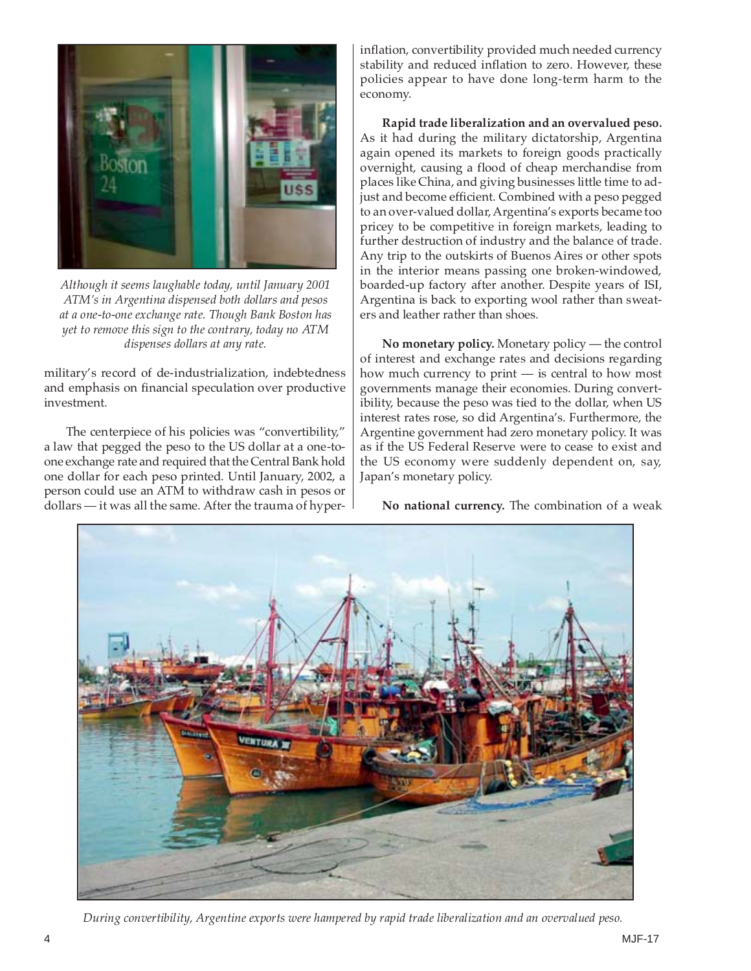

*Although it seems laughable today, until January 2001 ATM's in Argentina dispensed both dollars and pesos at a one-to-one exchange rate. Though Bank Boston has yet to remove this sign to the contrary, today no ATM dispenses dollars at any rate.*

military's record of de-industrialization, indebtedness and emphasis on financial speculation over productive investment.

The centerpiece of his policies was "convertibility," a law that pegged the peso to the US dollar at a one-toone exchange rate and required that the Central Bank hold one dollar for each peso printed. Until January, 2002, a person could use an ATM to withdraw cash in pesos or dollars — it was all the same. After the trauma of hyper-

inflation, convertibility provided much needed currency stability and reduced inflation to zero. However, these policies appear to have done long-term harm to the economy.

**Rapid trade liberalization and an overvalued peso.** As it had during the military dictatorship, Argentina again opened its markets to foreign goods practically overnight, causing a flood of cheap merchandise from places like China, and giving businesses little time to adjust and become efficient. Combined with a peso pegged to an over-valued dollar, Argentina's exports became too pricey to be competitive in foreign markets, leading to further destruction of industry and the balance of trade. Any trip to the outskirts of Buenos Aires or other spots in the interior means passing one broken-windowed, boarded-up factory after another. Despite years of ISI, Argentina is back to exporting wool rather than sweaters and leather rather than shoes.

**No monetary policy.** Monetary policy — the control of interest and exchange rates and decisions regarding how much currency to print — is central to how most governments manage their economies. During convertibility, because the peso was tied to the dollar, when US interest rates rose, so did Argentina's. Furthermore, the Argentine government had zero monetary policy. It was as if the US Federal Reserve were to cease to exist and the US economy were suddenly dependent on, say, Japan's monetary policy.

**No national currency.** The combination of a weak



*During convertibility, Argentine exports were hampered by rapid trade liberalization and an overvalued peso.*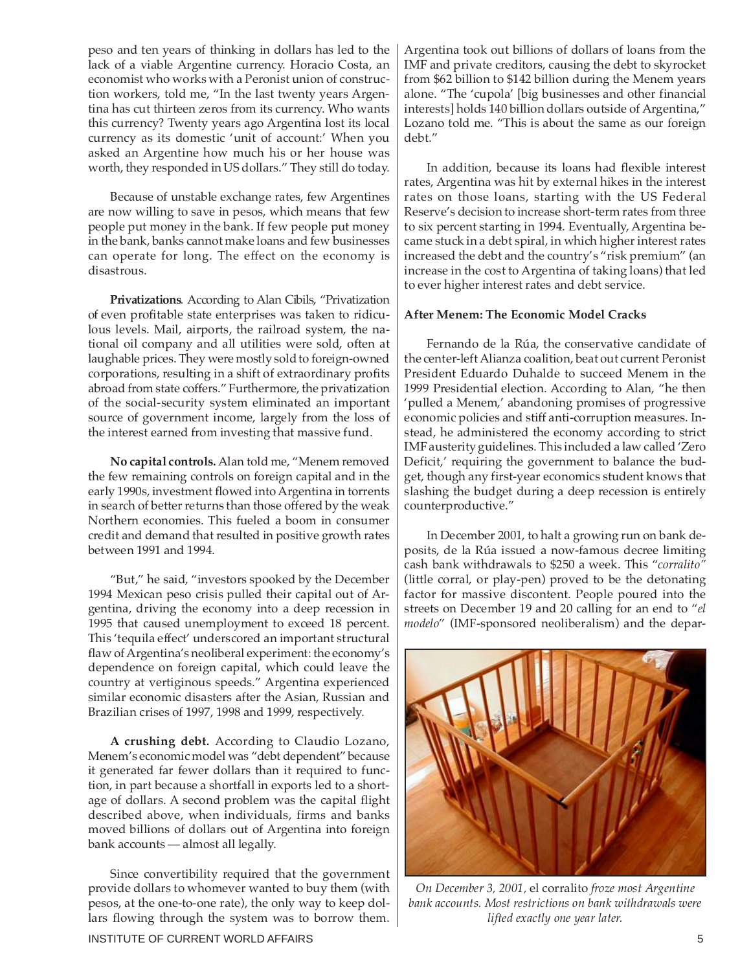peso and ten years of thinking in dollars has led to the lack of a viable Argentine currency. Horacio Costa, an economist who works with a Peronist union of construction workers, told me, "In the last twenty years Argentina has cut thirteen zeros from its currency. Who wants this currency? Twenty years ago Argentina lost its local currency as its domestic 'unit of account:' When you asked an Argentine how much his or her house was worth, they responded in US dollars." They still do today.

Because of unstable exchange rates, few Argentines are now willing to save in pesos, which means that few people put money in the bank. If few people put money in the bank, banks cannot make loans and few businesses can operate for long. The effect on the economy is disastrous.

**Privatizations***.* According to Alan Cibils, "Privatization of even profitable state enterprises was taken to ridiculous levels. Mail, airports, the railroad system, the national oil company and all utilities were sold, often at laughable prices. They were mostly sold to foreign-owned corporations, resulting in a shift of extraordinary profits abroad from state coffers." Furthermore, the privatization of the social-security system eliminated an important source of government income, largely from the loss of the interest earned from investing that massive fund.

**No capital controls.**Alan told me, "Menem removed the few remaining controls on foreign capital and in the early 1990s, investment flowed into Argentina in torrents in search of better returns than those offered by the weak Northern economies. This fueled a boom in consumer credit and demand that resulted in positive growth rates between 1991 and 1994.

"But," he said, "investors spooked by the December 1994 Mexican peso crisis pulled their capital out of Argentina, driving the economy into a deep recession in 1995 that caused unemployment to exceed 18 percent. This 'tequila effect' underscored an important structural flaw of Argentina's neoliberal experiment: the economy's dependence on foreign capital, which could leave the country at vertiginous speeds." Argentina experienced similar economic disasters after the Asian, Russian and Brazilian crises of 1997, 1998 and 1999, respectively.

**A crushing debt***.* According to Claudio Lozano, Menem's economic model was "debt dependent" because it generated far fewer dollars than it required to function, in part because a shortfall in exports led to a shortage of dollars. A second problem was the capital flight described above, when individuals, firms and banks moved billions of dollars out of Argentina into foreign bank accounts — almost all legally.

Since convertibility required that the government provide dollars to whomever wanted to buy them (with pesos, at the one-to-one rate), the only way to keep dollars flowing through the system was to borrow them. Argentina took out billions of dollars of loans from the IMF and private creditors, causing the debt to skyrocket from \$62 billion to \$142 billion during the Menem years alone. "The 'cupola' [big businesses and other financial interests] holds 140 billion dollars outside of Argentina," Lozano told me. "This is about the same as our foreign debt."

In addition, because its loans had flexible interest rates, Argentina was hit by external hikes in the interest rates on those loans, starting with the US Federal Reserve's decision to increase short-term rates from three to six percent starting in 1994. Eventually, Argentina became stuck in a debt spiral, in which higher interest rates increased the debt and the country's "risk premium" (an increase in the cost to Argentina of taking loans) that led to ever higher interest rates and debt service.

#### **After Menem: The Economic Model Cracks**

Fernando de la Rúa, the conservative candidate of the center-left Alianza coalition, beat out current Peronist President Eduardo Duhalde to succeed Menem in the 1999 Presidential election. According to Alan, "he then 'pulled a Menem,' abandoning promises of progressive economic policies and stiff anti-corruption measures. Instead, he administered the economy according to strict IMF austerity guidelines. This included a law called 'Zero Deficit,' requiring the government to balance the budget, though any first-year economics student knows that slashing the budget during a deep recession is entirely counterproductive."

In December 2001, to halt a growing run on bank deposits, de la Rúa issued a now-famous decree limiting cash bank withdrawals to \$250 a week. This "*corralito"* (little corral, or play-pen) proved to be the detonating factor for massive discontent. People poured into the streets on December 19 and 20 calling for an end to "*el modelo*" (IMF-sponsored neoliberalism) and the depar-



*On December 3, 2001,* el corralito *froze most Argentine bank accounts. Most restrictions on bank withdrawals were lifted exactly one year later.*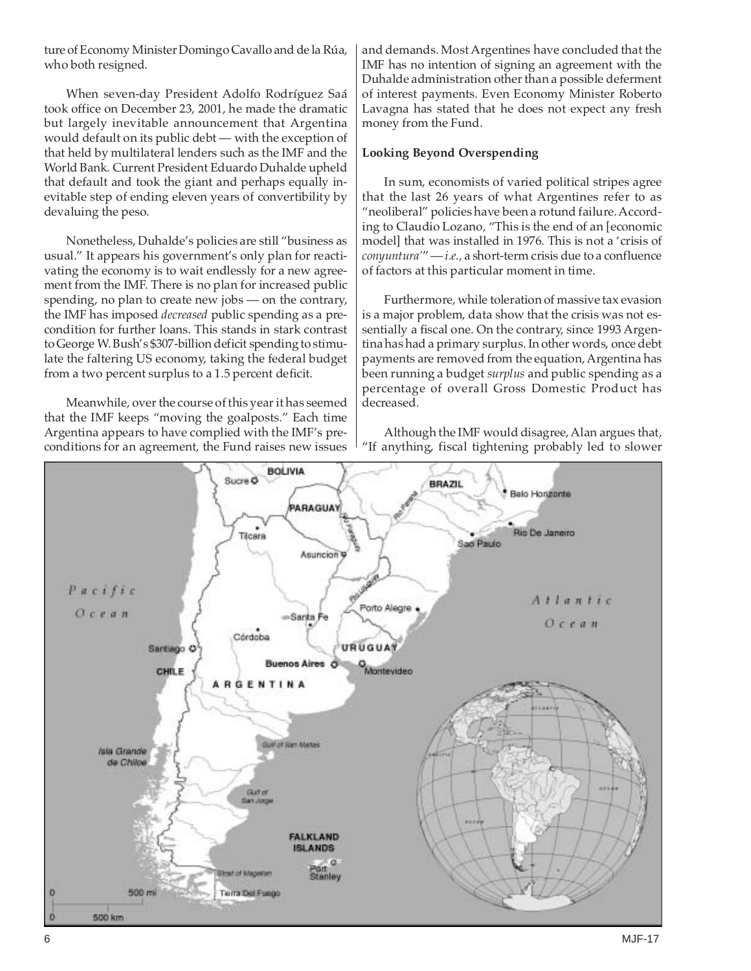ture of Economy Minister Domingo Cavallo and de la Rúa, who both resigned.

When seven-day President Adolfo Rodríguez Saá took office on December 23, 2001, he made the dramatic but largely inevitable announcement that Argentina would default on its public debt — with the exception of that held by multilateral lenders such as the IMF and the World Bank. Current President Eduardo Duhalde upheld that default and took the giant and perhaps equally inevitable step of ending eleven years of convertibility by devaluing the peso.

Nonetheless, Duhalde's policies are still "business as usual." It appears his government's only plan for reactivating the economy is to wait endlessly for a new agreement from the IMF. There is no plan for increased public spending, no plan to create new jobs — on the contrary, the IMF has imposed *decreased* public spending as a precondition for further loans. This stands in stark contrast to George W. Bush's \$307-billion deficit spending to stimulate the faltering US economy, taking the federal budget from a two percent surplus to a 1.5 percent deficit.

Meanwhile, over the course of this year it has seemed that the IMF keeps "moving the goalposts." Each time Argentina appears to have complied with the IMF's preconditions for an agreement, the Fund raises new issues

and demands. Most Argentines have concluded that the IMF has no intention of signing an agreement with the Duhalde administration other than a possible deferment of interest payments. Even Economy Minister Roberto Lavagna has stated that he does not expect any fresh money from the Fund.

## **Looking Beyond Overspending**

In sum, economists of varied political stripes agree that the last 26 years of what Argentines refer to as "neoliberal" policies have been a rotund failure. According to Claudio Lozano, "This is the end of an [economic model] that was installed in 1976. This is not a 'crisis of *conyuntura'*" — *i.e.,* a short-term crisis due to a confluence of factors at this particular moment in time.

Furthermore, while toleration of massive tax evasion is a major problem, data show that the crisis was not essentially a fiscal one. On the contrary, since 1993 Argentina has had a primary surplus. In other words, once debt payments are removed from the equation, Argentina has been running a budget *surplus* and public spending as a percentage of overall Gross Domestic Product has decreased*.*

Although the IMF would disagree, Alan argues that, "If anything, fiscal tightening probably led to slower

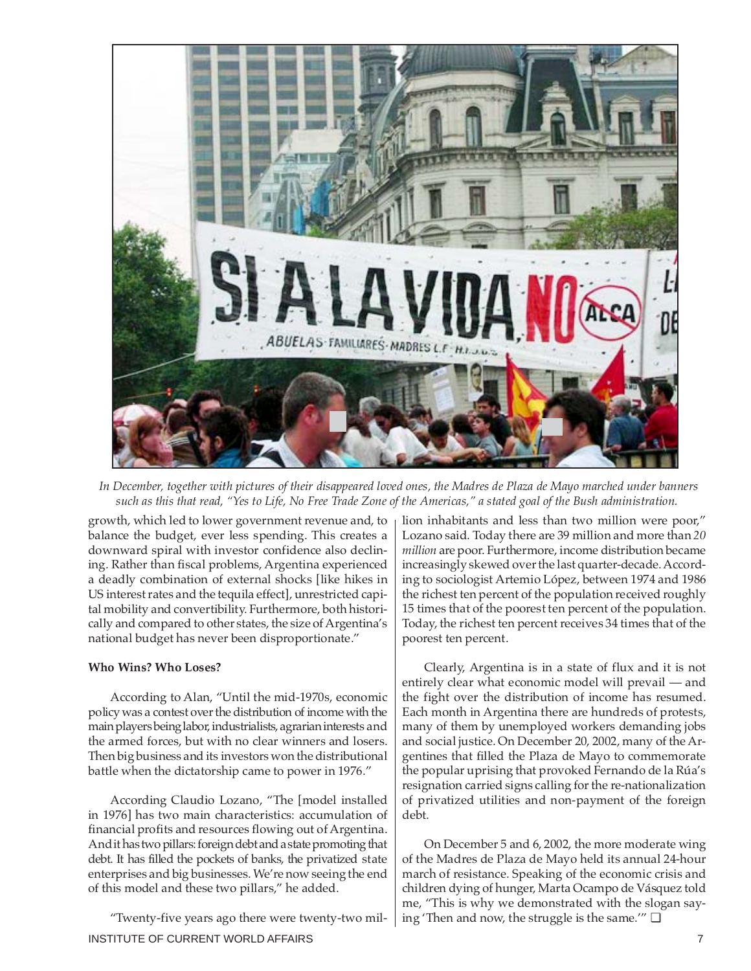

 *In December, together with pictures of their disappeared loved ones, the Madres de Plaza de Mayo marched under banners such as this that read, "Yes to Life, No Free Trade Zone of the Americas," a stated goal of the Bush administration.*

growth, which led to lower government revenue and, to balance the budget, ever less spending. This creates a downward spiral with investor confidence also declining. Rather than fiscal problems, Argentina experienced a deadly combination of external shocks [like hikes in US interest rates and the tequila effect], unrestricted capital mobility and convertibility. Furthermore, both historically and compared to other states, the size of Argentina's national budget has never been disproportionate."

#### **Who Wins? Who Loses?**

According to Alan, "Until the mid-1970s, economic policy was a contest over the distribution of income with the main players being labor, industrialists, agrarian interests and the armed forces, but with no clear winners and losers. Then big business and its investors won the distributional battle when the dictatorship came to power in 1976."

According Claudio Lozano, "The [model installed in 1976] has two main characteristics: accumulation of financial profits and resources flowing out of Argentina. And it has two pillars: foreign debt and a state promoting that debt. It has filled the pockets of banks, the privatized state enterprises and big businesses. We're now seeing the end of this model and these two pillars," he added.

INSTITUTE OF CURRENT WORLD AFFAIRS **7** And the state of the state of the state of the state of the state of the state of the state of the state of the state of the state of the state of the state of the state of the state "Twenty-five years ago there were twenty-two mil-

lion inhabitants and less than two million were poor," Lozano said. Today there are 39 million and more than *20 million* are poor. Furthermore, income distribution became increasingly skewed over the last quarter-decade. According to sociologist Artemio López, between 1974 and 1986 the richest ten percent of the population received roughly 15 times that of the poorest ten percent of the population. Today, the richest ten percent receives 34 times that of the poorest ten percent.

Clearly, Argentina is in a state of flux and it is not entirely clear what economic model will prevail — and the fight over the distribution of income has resumed. Each month in Argentina there are hundreds of protests, many of them by unemployed workers demanding jobs and social justice. On December 20, 2002, many of the Argentines that filled the Plaza de Mayo to commemorate the popular uprising that provoked Fernando de la Rúa's resignation carried signs calling for the re-nationalization of privatized utilities and non-payment of the foreign debt.

On December 5 and 6, 2002, the more moderate wing of the Madres de Plaza de Mayo held its annual 24-hour march of resistance. Speaking of the economic crisis and children dying of hunger, Marta Ocampo de Vásquez told me, "This is why we demonstrated with the slogan saying 'Then and now, the struggle is the same.'"  $\Box$